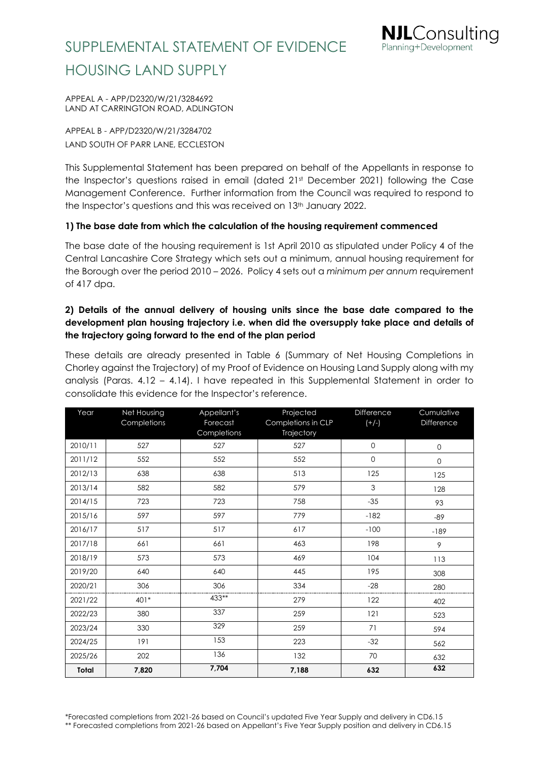APPEAL A - APP/D2320/W/21/3284692 LAND AT CARRINGTON ROAD, ADLINGTON

APPEAL B - APP/D2320/W/21/3284702 LAND SOUTH OF PARR LANE, ECCLESTON

This Supplemental Statement has been prepared on behalf of the Appellants in response to the Inspector's questions raised in email (dated 21st December 2021) following the Case Management Conference. Further information from the Council was required to respond to the Inspector's questions and this was received on 13<sup>th</sup> January 2022.

**IL**Consultina

Planning+Development

### **1) The base date from which the calculation of the housing requirement commenced**

The base date of the housing requirement is 1st April 2010 as stipulated under Policy 4 of the Central Lancashire Core Strategy which sets out a minimum, annual housing requirement for the Borough over the period 2010 – 2026. Policy 4 sets out a *minimum per annum* requirement of 417 dpa.

### **2) Details of the annual delivery of housing units since the base date compared to the development plan housing trajectory i.e. when did the oversupply take place and details of the trajectory going forward to the end of the plan period**

These details are already presented in Table 6 (Summary of Net Housing Completions in Chorley against the Trajectory) of my Proof of Evidence on Housing Land Supply along with my analysis (Paras. 4.12 – 4.14). I have repeated in this Supplemental Statement in order to consolidate this evidence for the Inspector's reference.

| Year         | <b>Net Housing</b> | Appellant's             | Projected                        |             | Cumulative  |
|--------------|--------------------|-------------------------|----------------------------------|-------------|-------------|
|              | Completions        | Forecast<br>Completions | Completions in CLP<br>Trajectory | $(+/-)$     | Difference  |
| 2010/11      | 527                | 527                     | 527                              | $\mathbf 0$ | $\mathbf 0$ |
| 2011/12      | 552                | 552                     | 552                              | $\mathbf 0$ | $\mathbf 0$ |
| 2012/13      | 638                | 638                     | 513                              | 125         | 125         |
| 2013/14      | 582                | 582                     | 579                              | 3           | 128         |
| 2014/15      | 723                | 723                     | 758                              | $-35$       | 93          |
| 2015/16      | 597                | 597                     | 779                              | $-182$      | $-89$       |
| 2016/17      | 517                | 517                     | 617                              | $-100$      | $-189$      |
| 2017/18      | 661                | 661                     | 463                              | 198         | 9           |
| 2018/19      | 573                | 573                     | 469                              | 104         | 113         |
| 2019/20      | 640                | 640                     | 445                              | 195         | 308         |
| 2020/21      | 306                | 306                     | 334                              | $-28$       | 280         |
| 2021/22      | 401*               | 433**                   | 279                              | 122         | 402         |
| 2022/23      | 380                | 337                     | 259                              | 121         | 523         |
| 2023/24      | 330                | 329                     | 259                              | 71          | 594         |
| 2024/25      | 191                | 153                     | 223                              | $-32$       | 562         |
| 2025/26      | 202                | 136                     | 132                              | 70          | 632         |
| <b>Total</b> | 7,820              | 7,704                   | 7,188                            | 632         | 632         |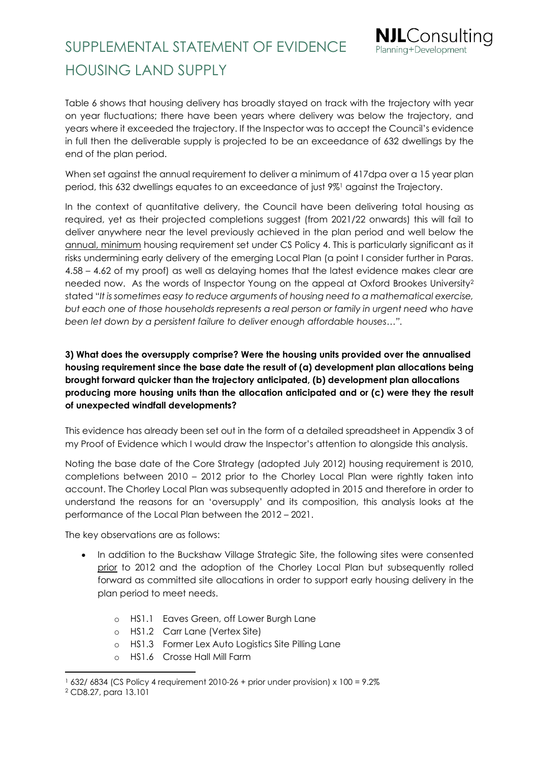

Table 6 shows that housing delivery has broadly stayed on track with the trajectory with year on year fluctuations; there have been years where delivery was below the trajectory, and years where it exceeded the trajectory. If the Inspector was to accept the Council's evidence in full then the deliverable supply is projected to be an exceedance of 632 dwellings by the end of the plan period.

When set against the annual requirement to deliver a minimum of 417dpa over a 15 year plan period, this 632 dwellings equates to an exceedance of just 9%<sup>1</sup> against the Trajectory.

In the context of quantitative delivery, the Council have been delivering total housing as required, yet as their projected completions suggest (from 2021/22 onwards) this will fail to deliver anywhere near the level previously achieved in the plan period and well below the annual, minimum housing requirement set under CS Policy 4. This is particularly significant as it risks undermining early delivery of the emerging Local Plan (a point I consider further in Paras. 4.58 – 4.62 of my proof) as well as delaying homes that the latest evidence makes clear are needed now. As the words of Inspector Young on the appeal at Oxford Brookes University<sup>2</sup> stated "*It is sometimes easy to reduce arguments of housing need to a mathematical exercise, but each one of those households represents a real person or family in urgent need who have been let down by a persistent failure to deliver enough affordable houses…".*

### **3) What does the oversupply comprise? Were the housing units provided over the annualised housing requirement since the base date the result of (a) development plan allocations being brought forward quicker than the trajectory anticipated, (b) development plan allocations producing more housing units than the allocation anticipated and or (c) were they the result of unexpected windfall developments?**

This evidence has already been set out in the form of a detailed spreadsheet in Appendix 3 of my Proof of Evidence which I would draw the Inspector's attention to alongside this analysis.

Noting the base date of the Core Strategy (adopted July 2012) housing requirement is 2010, completions between 2010 – 2012 prior to the Chorley Local Plan were rightly taken into account. The Chorley Local Plan was subsequently adopted in 2015 and therefore in order to understand the reasons for an 'oversupply' and its composition, this analysis looks at the performance of the Local Plan between the 2012 – 2021.

The key observations are as follows:

- In addition to the Buckshaw Village Strategic Site, the following sites were consented prior to 2012 and the adoption of the Chorley Local Plan but subsequently rolled forward as committed site allocations in order to support early housing delivery in the plan period to meet needs.
	- o HS1.1 Eaves Green, off Lower Burgh Lane
	- o HS1.2 Carr Lane (Vertex Site)
	- o HS1.3 Former Lex Auto Logistics Site Pilling Lane
	- HS1.6 Crosse Hall Mill Farm

<sup>1</sup> 632/ 6834 (CS Policy 4 requirement 2010-26 + prior under provision) x 100 = 9.2%

<sup>2</sup> CD8.27, para 13.101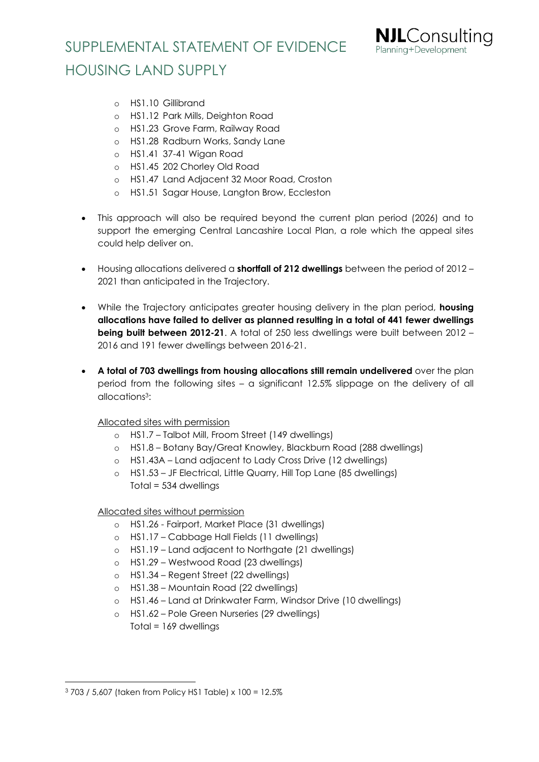

- o HS1.10 Gillibrand
- o HS1.12 Park Mills, Deighton Road
- o HS1.23 Grove Farm, Railway Road
- o HS1.28 Radburn Works, Sandy Lane
- o HS1.41 37-41 Wigan Road
- o HS1.45 202 Chorley Old Road
- o HS1.47 Land Adjacent 32 Moor Road, Croston
- o HS1.51 Sagar House, Langton Brow, Eccleston
- This approach will also be required beyond the current plan period (2026) and to support the emerging Central Lancashire Local Plan, a role which the appeal sites could help deliver on.
- Housing allocations delivered a **shortfall of 212 dwellings** between the period of 2012 2021 than anticipated in the Trajectory.
- While the Trajectory anticipates greater housing delivery in the plan period, **housing allocations have failed to deliver as planned resulting in a total of 441 fewer dwellings being built between 2012-21.** A total of 250 less dwellings were built between 2012 – 2016 and 191 fewer dwellings between 2016-21.
- **A total of 703 dwellings from housing allocations still remain undelivered** over the plan period from the following sites – a significant 12.5% slippage on the delivery of all allocations3:

#### Allocated sites with permission

- o HS1.7 Talbot Mill, Froom Street (149 dwellings)
- o HS1.8 Botany Bay/Great Knowley, Blackburn Road (288 dwellings)
- o HS1.43A Land adjacent to Lady Cross Drive (12 dwellings)
- o HS1.53 JF Electrical, Little Quarry, Hill Top Lane (85 dwellings) Total = 534 dwellings

#### Allocated sites without permission

- o HS1.26 Fairport, Market Place (31 dwellings)
- o HS1.17 Cabbage Hall Fields (11 dwellings)
- o HS1.19 Land adjacent to Northgate (21 dwellings)
- o HS1.29 Westwood Road (23 dwellings)
- o HS1.34 Regent Street (22 dwellings)
- o HS1.38 Mountain Road (22 dwellings)
- o HS1.46 Land at Drinkwater Farm, Windsor Drive (10 dwellings)
- HS1.62 Pole Green Nurseries (29 dwellings)

Total = 169 dwellings

<sup>3</sup> 703 / 5,607 (taken from Policy HS1 Table) x 100 = 12.5%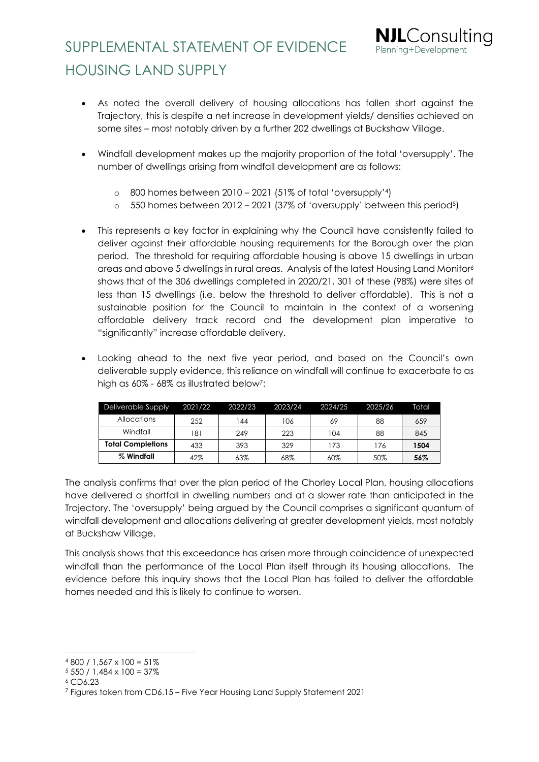

**NJL**Consulting Planning+Development

- Windfall development makes up the majority proportion of the total 'oversupply'. The number of dwellings arising from windfall development are as follows:
	- o 800 homes between 2010 2021 (51% of total 'oversupply'4)
	- $\circ$  550 homes between 2012 2021 (37% of 'oversupply' between this period<sup>5</sup>)
- This represents a key factor in explaining why the Council have consistently failed to deliver against their affordable housing requirements for the Borough over the plan period. The threshold for requiring affordable housing is above 15 dwellings in urban areas and above 5 dwellings in rural areas. Analysis of the latest Housing Land Monitor<sup>6</sup> shows that of the 306 dwellings completed in 2020/21, 301 of these (98%) were sites of less than 15 dwellings (i.e. below the threshold to deliver affordable). This is not a sustainable position for the Council to maintain in the context of a worsening affordable delivery track record and the development plan imperative to "significantly" increase affordable delivery.
- Looking ahead to the next five year period, and based on the Council's own deliverable supply evidence, this reliance on windfall will continue to exacerbate to as high as 60% - 68% as illustrated below<sup>7</sup>:

| Deliverable Supply       | 2021/22 | 2022/23 | 2023/24 | 2024/25 | 2025/26 | Total |
|--------------------------|---------|---------|---------|---------|---------|-------|
| <b>Allocations</b>       | 252     | 44      | 106     | 69      | 88      | 659   |
| Windfall                 | 181     | 249     | 223     | 104     | 88      | 845   |
| <b>Total Completions</b> | 433     | 393     | 329     | 173     | 176     | 1504  |
| % Windfall               | 42%     | 63%     | 68%     | 60%     | 50%     | 56%   |

The analysis confirms that over the plan period of the Chorley Local Plan, housing allocations have delivered a shortfall in dwelling numbers and at a slower rate than anticipated in the Trajectory. The 'oversupply' being argued by the Council comprises a significant quantum of windfall development and allocations delivering at greater development yields, most notably at Buckshaw Village.

This analysis shows that this exceedance has arisen more through coincidence of unexpected windfall than the performance of the Local Plan itself through its housing allocations. The evidence before this inquiry shows that the Local Plan has failed to deliver the affordable homes needed and this is likely to continue to worsen.

 $4800 / 1,567 \times 100 = 51\%$ 

 $5550 / 1,484 \times 100 = 37\%$ 

<sup>6</sup> CD6.23

<sup>7</sup> Figures taken from CD6.15 – Five Year Housing Land Supply Statement 2021